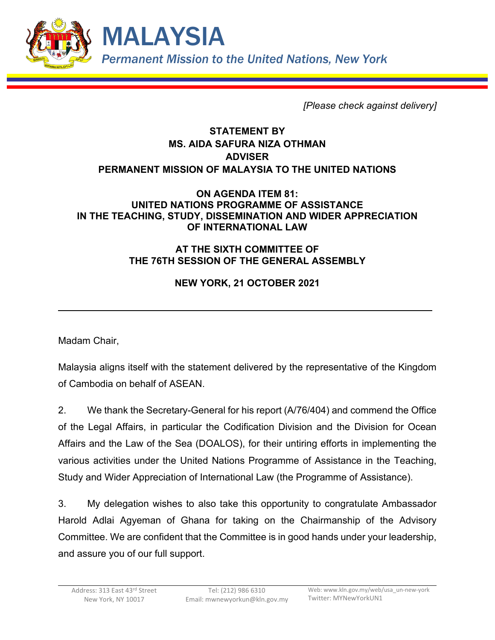

*[Please check against delivery]*

## **STATEMENT BY MS. AIDA SAFURA NIZA OTHMAN ADVISER PERMANENT MISSION OF MALAYSIA TO THE UNITED NATIONS**

## **ON AGENDA ITEM 81: UNITED NATIONS PROGRAMME OF ASSISTANCE IN THE TEACHING, STUDY, DISSEMINATION AND WIDER APPRECIATION OF INTERNATIONAL LAW**

## **AT THE SIXTH COMMITTEE OF THE 76TH SESSION OF THE GENERAL ASSEMBLY**

## **NEW YORK, 21 OCTOBER 2021**

Madam Chair,

Malaysia aligns itself with the statement delivered by the representative of the Kingdom of Cambodia on behalf of ASEAN.

2. We thank the Secretary-General for his report (A/76/404) and commend the Office of the Legal Affairs, in particular the Codification Division and the Division for Ocean Affairs and the Law of the Sea (DOALOS), for their untiring efforts in implementing the various activities under the United Nations Programme of Assistance in the Teaching, Study and Wider Appreciation of International Law (the Programme of Assistance).

3. My delegation wishes to also take this opportunity to congratulate Ambassador Harold Adlai Agyeman of Ghana for taking on the Chairmanship of the Advisory Committee. We are confident that the Committee is in good hands under your leadership, and assure you of our full support.